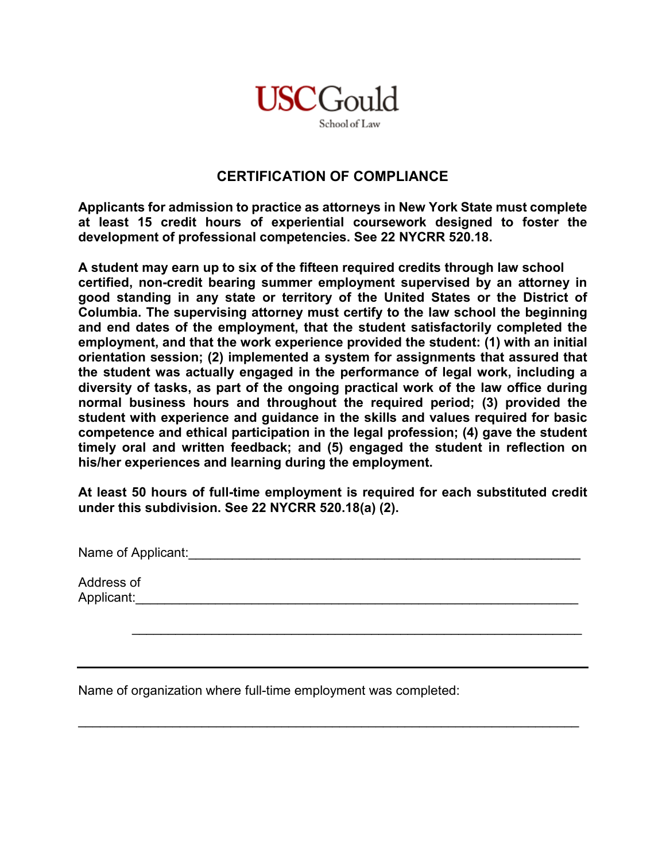

## **CERTIFICATION OF COMPLIANCE**

**Applicants for admission to practice as attorneys in New York State must complete at least 15 credit hours of experiential coursework designed to foster the development of professional competencies. See 22 NYCRR 520.18.**

**A student may earn up to six of the fifteen required credits through law school certified, non-credit bearing summer employment supervised by an attorney in good standing in any state or territory of the United States or the District of Columbia. The supervising attorney must certify to the law school the beginning and end dates of the employment, that the student satisfactorily completed the employment, and that the work experience provided the student: (1) with an initial orientation session; (2) implemented a system for assignments that assured that the student was actually engaged in the performance of legal work, including a diversity of tasks, as part of the ongoing practical work of the law office during normal business hours and throughout the required period; (3) provided the student with experience and guidance in the skills and values required for basic competence and ethical participation in the legal profession; (4) gave the student timely oral and written feedback; and (5) engaged the student in reflection on his/her experiences and learning during the employment.** 

**At least 50 hours of full-time employment is required for each substituted credit under this subdivision. See 22 NYCRR 520.18(a) (2).**

\_\_\_\_\_\_\_\_\_\_\_\_\_\_\_\_\_\_\_\_\_\_\_\_\_\_\_\_\_\_\_\_\_\_\_\_\_\_\_\_\_\_\_\_\_\_\_\_\_\_\_\_\_\_\_\_\_\_\_\_\_\_

\_\_\_\_\_\_\_\_\_\_\_\_\_\_\_\_\_\_\_\_\_\_\_\_\_\_\_\_\_\_\_\_\_\_\_\_\_\_\_\_\_\_\_\_\_\_\_\_\_\_\_\_\_\_\_\_\_\_\_\_\_\_\_\_\_\_\_\_\_

Name of Applicant:\_\_\_\_\_\_\_\_\_\_\_\_\_\_\_\_\_\_\_\_\_\_\_\_\_\_\_\_\_\_\_\_\_\_\_\_\_\_\_\_\_\_\_\_\_\_\_\_\_\_\_\_\_\_

Address of Applicant:\_\_\_\_\_\_\_\_\_\_\_\_\_\_\_\_\_\_\_\_\_\_\_\_\_\_\_\_\_\_\_\_\_\_\_\_\_\_\_\_\_\_\_\_\_\_\_\_\_\_\_\_\_\_\_\_\_\_\_\_\_

Name of organization where full-time employment was completed: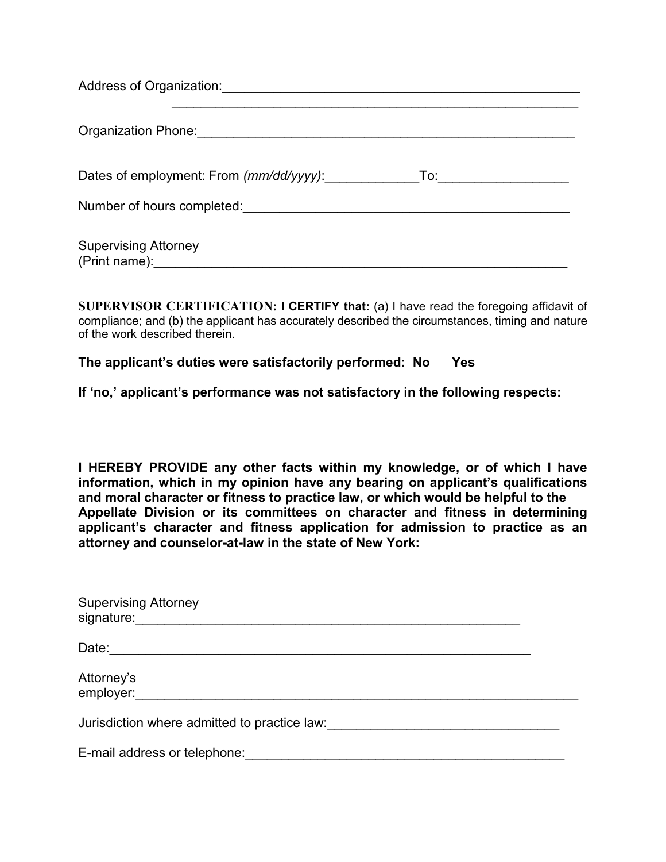| Address of Organization:                     |     |
|----------------------------------------------|-----|
| Organization Phone:                          |     |
| Dates of employment: From (mm/dd/yyyy):      | To: |
| Number of hours completed:                   |     |
| <b>Supervising Attorney</b><br>(Print name): |     |

**SUPERVISOR CERTIFICATION: I CERTIFY that:** (a) I have read the foregoing affidavit of compliance; and (b) the applicant has accurately described the circumstances, timing and nature of the work described therein.

## **The applicant's duties were satisfactorily performed: No Yes**

**If 'no,' applicant's performance was not satisfactory in the following respects:**

**I HEREBY PROVIDE any other facts within my knowledge, or of which I have information, which in my opinion have any bearing on applicant's qualifications and moral character or fitness to practice law, or which would be helpful to the Appellate Division or its committees on character and fitness in determining applicant's character and fitness application for admission to practice as an attorney and counselor-at-law in the state of New York:**

| <b>Supervising Attorney</b>                  |  |
|----------------------------------------------|--|
|                                              |  |
| Attorney's<br>employer:                      |  |
| Jurisdiction where admitted to practice law: |  |
| E-mail address or telephone:                 |  |